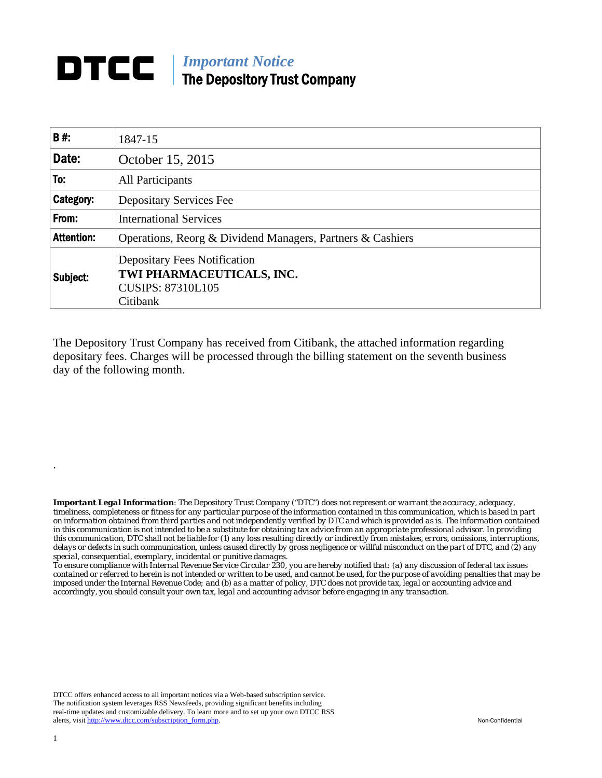## **DTCC** | *Important Notice* The Depository Trust Company

| B#:               | 1847-15                                                                                                  |  |  |  |  |
|-------------------|----------------------------------------------------------------------------------------------------------|--|--|--|--|
| Date:             | October 15, 2015                                                                                         |  |  |  |  |
| To:               | All Participants                                                                                         |  |  |  |  |
| Category:         | <b>Depositary Services Fee</b>                                                                           |  |  |  |  |
| From:             | <b>International Services</b>                                                                            |  |  |  |  |
| <b>Attention:</b> | Operations, Reorg & Dividend Managers, Partners & Cashiers                                               |  |  |  |  |
| Subject:          | <b>Depositary Fees Notification</b><br>TWI PHARMACEUTICALS, INC.<br><b>CUSIPS: 87310L105</b><br>Citibank |  |  |  |  |

The Depository Trust Company has received from Citibank, the attached information regarding depositary fees. Charges will be processed through the billing statement on the seventh business day of the following month.

*Important Legal Information: The Depository Trust Company ("DTC") does not represent or warrant the accuracy, adequacy, timeliness, completeness or fitness for any particular purpose of the information contained in this communication, which is based in part on information obtained from third parties and not independently verified by DTC and which is provided as is. The information contained in this communication is not intended to be a substitute for obtaining tax advice from an appropriate professional advisor. In providing this communication, DTC shall not be liable for (1) any loss resulting directly or indirectly from mistakes, errors, omissions, interruptions, delays or defects in such communication, unless caused directly by gross negligence or willful misconduct on the part of DTC, and (2) any special, consequential, exemplary, incidental or punitive damages.* 

*To ensure compliance with Internal Revenue Service Circular 230, you are hereby notified that: (a) any discussion of federal tax issues contained or referred to herein is not intended or written to be used, and cannot be used, for the purpose of avoiding penalties that may be imposed under the Internal Revenue Code; and (b) as a matter of policy, DTC does not provide tax, legal or accounting advice and accordingly, you should consult your own tax, legal and accounting advisor before engaging in any transaction.*

DTCC offers enhanced access to all important notices via a Web-based subscription service. The notification system leverages RSS Newsfeeds, providing significant benefits including real-time updates and customizable delivery. To learn more and to set up your own DTCC RSS alerts, visit http://www.dtcc.com/subscription\_form.php. Non-Confidential

.